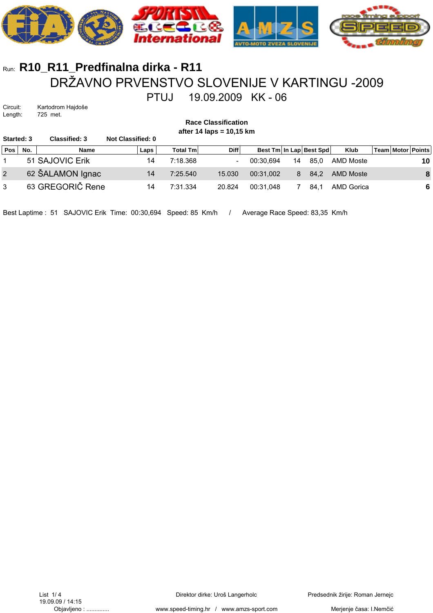

## Run: **R10\_R11\_Predfinalna dirka - R11** DRŽAVNO PRVENSTVO SLOVENIJE V KARTINGU -2009 PTUJ 19.09.2009 KK - 06

Circuit: Kartodrom Hajdoše Length: 725 met.

| <b>Race Classification</b><br>after 14 laps = $10,15$ km |     |                      |                   |                  |                          |           |    |                         |                   |  |  |                       |
|----------------------------------------------------------|-----|----------------------|-------------------|------------------|--------------------------|-----------|----|-------------------------|-------------------|--|--|-----------------------|
| <b>Started: 3</b>                                        |     | <b>Classified: 3</b> | Not Classified: 0 |                  |                          |           |    |                         |                   |  |  |                       |
| <b>Pos</b>                                               | No. | Name                 | Laps              | <b>Total Tml</b> | <b>Diff</b>              |           |    | Best Tm In Lap Best Spd | <b>Klub</b>       |  |  | Team   Motor   Points |
|                                                          |     | 51 SAJOVIC Erik      | 14                | 7:18.368         | $\overline{\phantom{a}}$ | 00:30.694 | 14 | 85.0                    | AMD Moste         |  |  | 10                    |
| 2                                                        |     | 62 ŠALAMON Ignac     | 14                | 7:25.540         | 15.030                   | 00:31.002 | 8  | 84.2                    | <b>AMD Moste</b>  |  |  | 8                     |
| 3                                                        |     | 63 GREGORIČ Rene     | 14                | 7:31.334         | 20.824                   | 00:31.048 |    | 84.1                    | <b>AMD Gorica</b> |  |  | 6                     |

Best Laptime : 51 SAJOVIC Erik Time: 00:30,694 Speed: 85 Km/h / Average Race Speed: 83,35 Km/h

Merjenje časa: I.Nemčić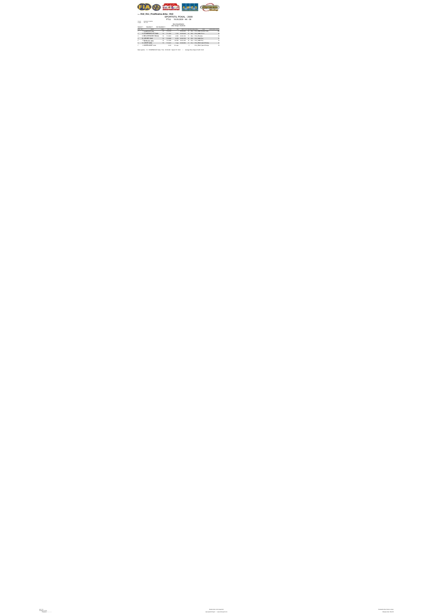

Direktor dirke: Uroš Langerholc www.speed-timing.hr / www.amzs-sport.com

Predsednik žirije: Roman Jernejc Merjenje časa: I.Nemčić